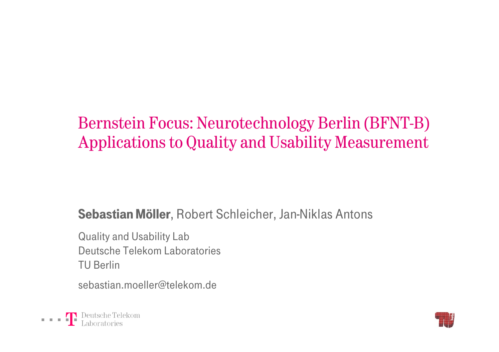# Bernstein Focus: Neurotechnology Berlin (BFNT-B) Applications to Quality and Usability Measurement

#### Sebastian Möller, Robert Schleicher, Jan-Niklas Antons

Quality and Usability Lab Deutsche Telekom LaboratoriesTU Berlin

sebastian.moeller@telekom.de



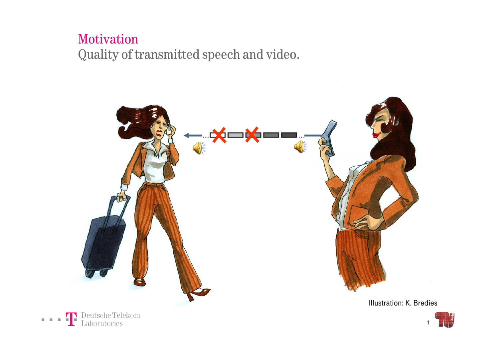#### Motivation Quality of transmitted speech and video.



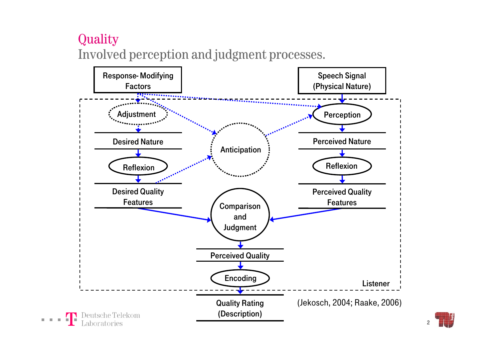## **Quality** Involved perception and judgment processes.

**Contract** 



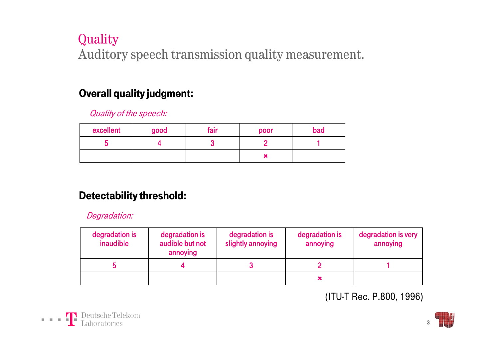## Quality Auditory speech transmission quality measurement.

#### Overall quality judgment:

Quality of the speech:

| excellent | good | fair | poor | bad |
|-----------|------|------|------|-----|
|           |      |      |      |     |
|           |      |      | ∽    |     |

#### Detectability threshold:

Degradation:

| degradation is<br>inaudible | degradation is<br>audible but not<br>annoying | degradation is<br>slightly annoying | degradation is<br>annoying | degradation is very<br>annoying |
|-----------------------------|-----------------------------------------------|-------------------------------------|----------------------------|---------------------------------|
|                             |                                               |                                     |                            |                                 |
|                             |                                               |                                     |                            |                                 |

(ITU-T Rec. P.800, 1996)



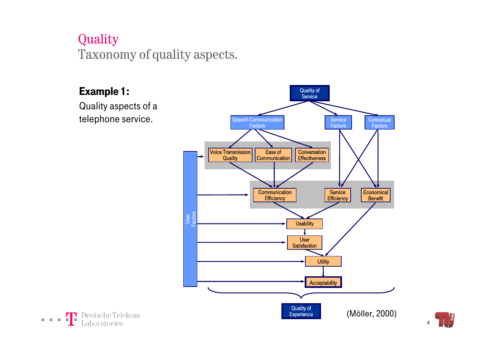## **Quality** Taxonomy of quality aspects.





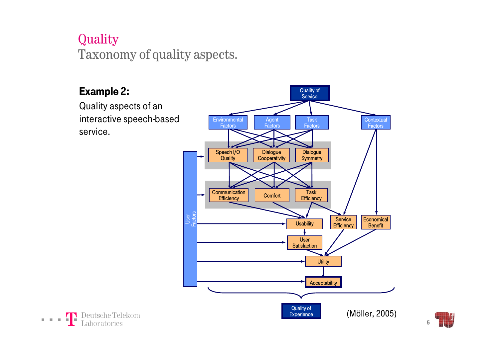## **Quality** Taxonomy of quality aspects.

#### Example 2:

Quality aspects of an interactive speech-based service.





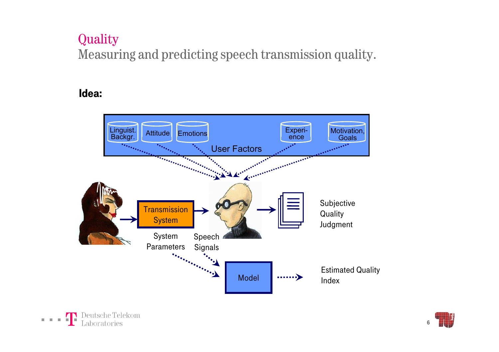## **Quality** Measuring and predicting speech transmission quality.

#### Idea:



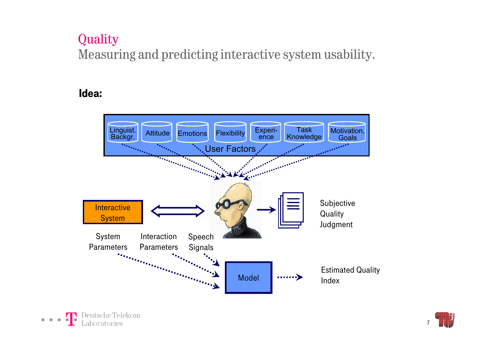## **Quality** Measuring and predicting interactive system usability.

#### Idea:



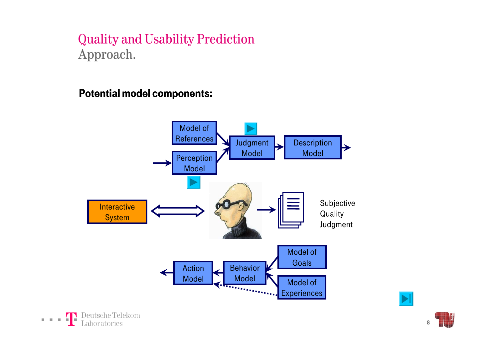#### Quality and Usability Prediction Approach.

Potential model components:





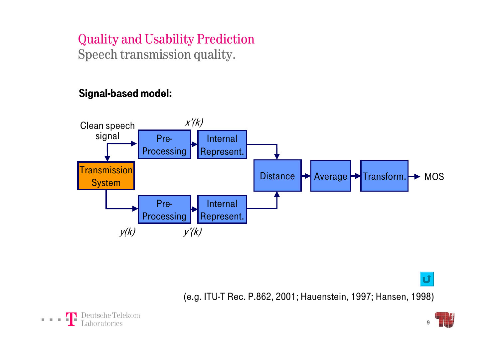## Quality and Usability Prediction Speech transmission quality.

#### Signal-based model:



(e.g. ITU-T Rec. P.862, 2001; Hauenstein, 1997; Hansen, 1998)



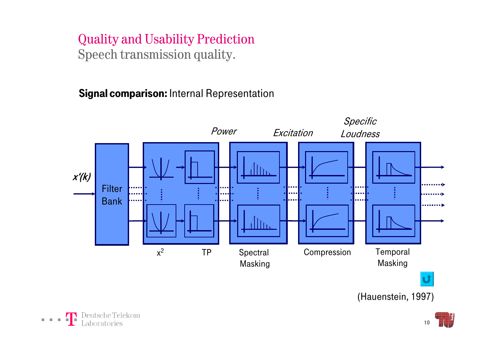### Quality and Usability Prediction Speech transmission quality.

Signal comparison: Internal Representation



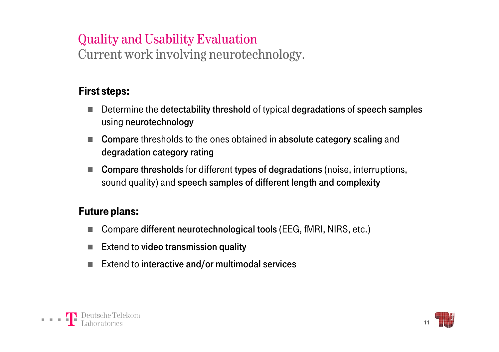## Quality and Usability Evaluation

Current work involving neurotechnology.

#### First steps:

- ٠ Determine the detectability threshold of typical degradations of speech samples using neurotechnology
- Compare thresholds to the ones obtained in absolute category scaling and degradation category rating
- Compare thresholds for different types of degradations (noise, interruptions, sound quality) and speech samples of different length and complexity

#### Future plans:

- ٠ Compare different neurotechnological tools (EEG, fMRI, NIRS, etc.)
- $\blacksquare$  Extend to video transmission quality
- ٠ Extend to interactive and/or multimodal services



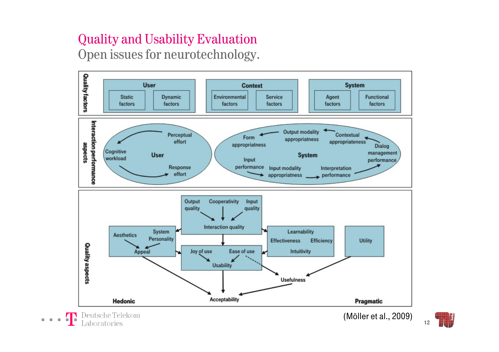### Quality and Usability Evaluation Open issues for neurotechnology.

 $0.1010$